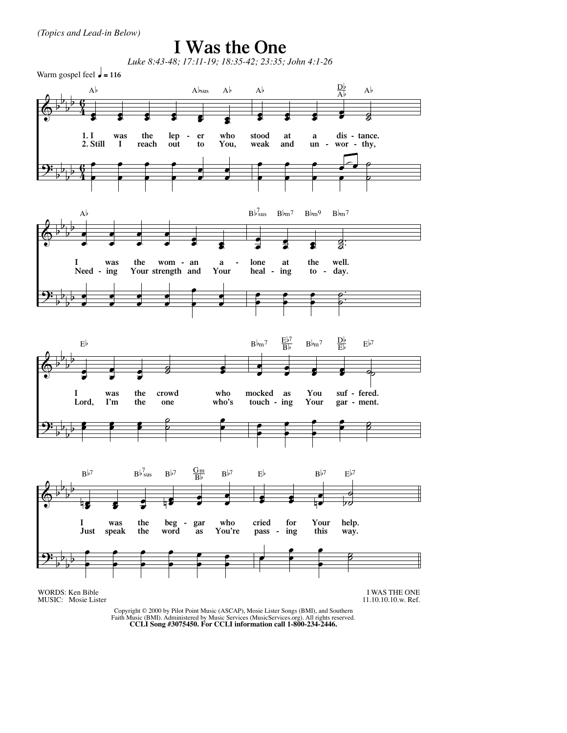*(Topics and Lead-in Below)*

## **I Was the One**

*Luke 8:43-48; 17:11-19; 18:35-42; 23:35; John 4:1-26*

Warm gospel feel  $\frac{1}{\sqrt{2}}$  = 116



WORDS: Ken Bible MUSIC: Mosie Lister

I WAS THE ONE 11.10.10.10.w. Ref.

Copyright © 2000 by Pilot Point Music (ASCAP), Mosie Lister Songs (BMI), and Southern Faith Music (BMI). Administered by Music Services (MusicServices.org). All rights reserved. **CCLI Song #3075450. For CCLI information call 1-800-234-2446.**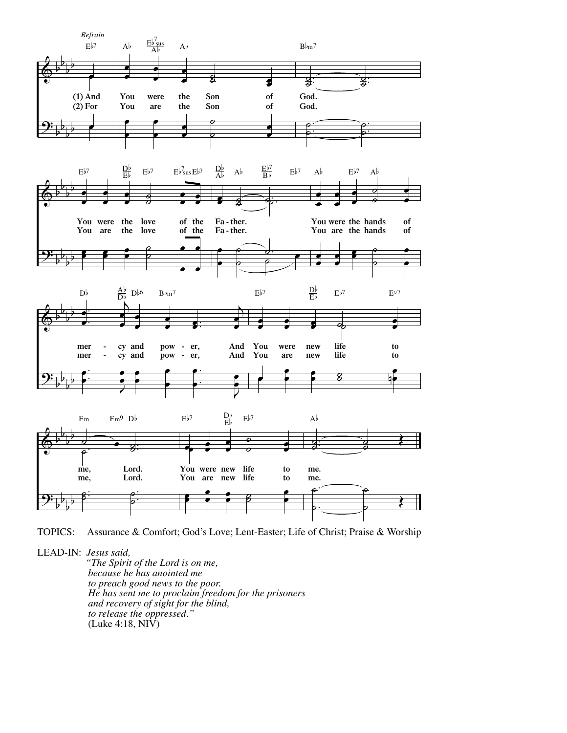

TOPICS: Assurance & Comfort; God's Love; Lent-Easter; Life of Christ; Praise & Worship

LEAD-IN: *Jesus said,* 

 *"The Spirit of the Lord is on me, because he has anointed me He has sent me to proclaim freedom for the prisoners and recovery of sight for the blind, to release the oppressed."*  $(Luke 4:18, NI\hat{V})$